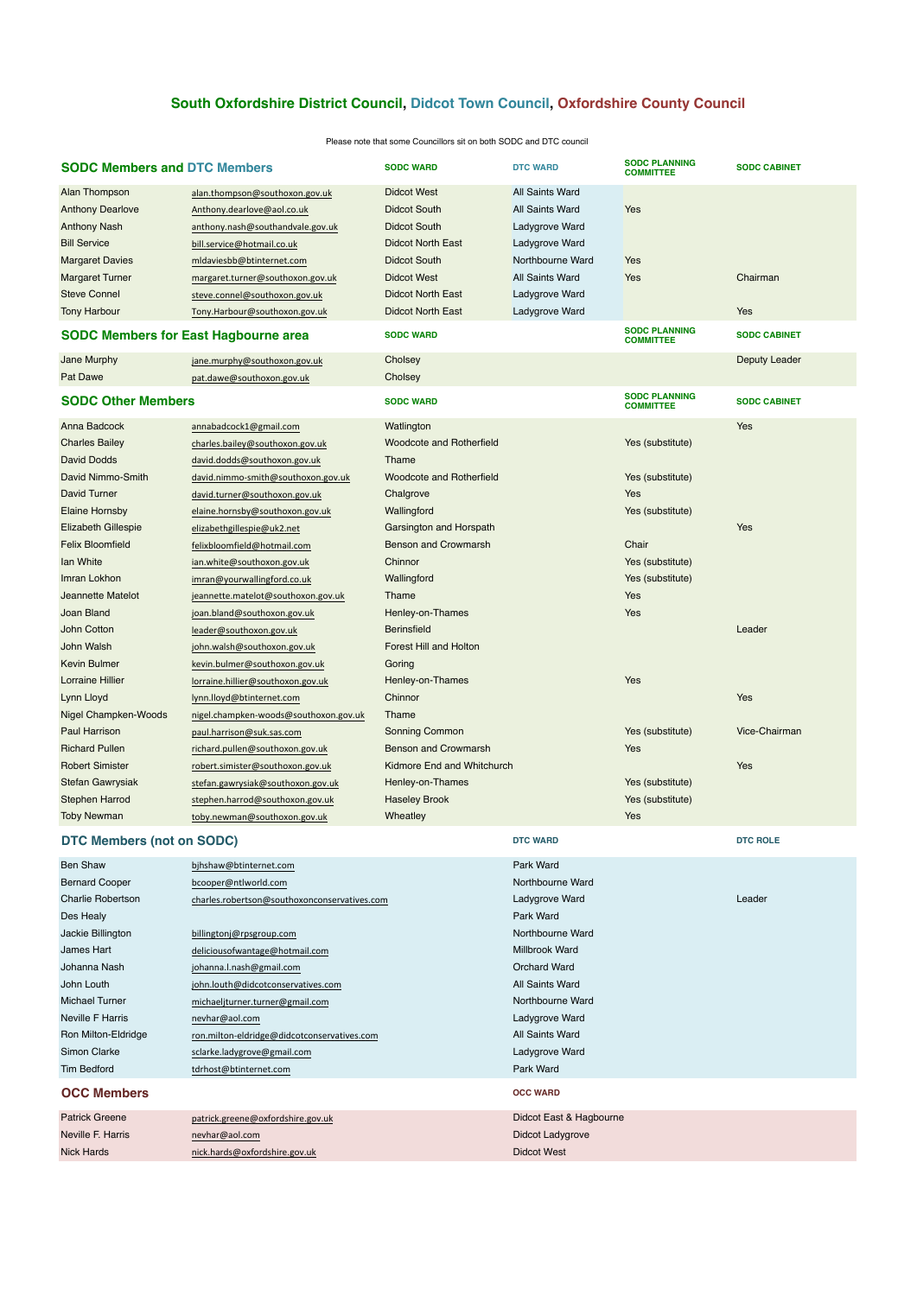| <b>SODC Members and DTC Members</b>                                                                                                                                                      |                                                                                                                                                                                                                                                                   | <b>SODC WARD</b>                                                                                                                                                                                  | <b>DTC WARD</b>                                                                                                                                          | <b>SODC PLANNING</b><br><b>COMMITTEE</b>                               | <b>SODC CABINET</b>    |
|------------------------------------------------------------------------------------------------------------------------------------------------------------------------------------------|-------------------------------------------------------------------------------------------------------------------------------------------------------------------------------------------------------------------------------------------------------------------|---------------------------------------------------------------------------------------------------------------------------------------------------------------------------------------------------|----------------------------------------------------------------------------------------------------------------------------------------------------------|------------------------------------------------------------------------|------------------------|
| Alan Thompson<br><b>Anthony Dearlove</b><br><b>Anthony Nash</b><br><b>Bill Service</b><br><b>Margaret Davies</b><br><b>Margaret Turner</b><br><b>Steve Connel</b><br><b>Tony Harbour</b> | alan.thompson@southoxon.gov.uk<br>Anthony.dearlove@aol.co.uk<br>anthony.nash@southandvale.gov.uk<br>bill.service@hotmail.co.uk<br>mldaviesbb@btinternet.com<br>margaret.turner@southoxon.gov.uk<br>steve.connel@southoxon.gov.uk<br>Tony.Harbour@southoxon.gov.uk | <b>Didcot West</b><br><b>Didcot South</b><br><b>Didcot South</b><br><b>Didcot North East</b><br><b>Didcot South</b><br><b>Didcot West</b><br><b>Didcot North East</b><br><b>Didcot North East</b> | <b>All Saints Ward</b><br>All Saints Ward<br>Ladygrove Ward<br>Ladygrove Ward<br>Northbourne Ward<br>All Saints Ward<br>Ladygrove Ward<br>Ladygrove Ward | Yes<br>Yes<br>Yes                                                      | Chairman<br><b>Yes</b> |
| <b>SODC Members for East Hagbourne area</b>                                                                                                                                              |                                                                                                                                                                                                                                                                   | <b>SODC WARD</b>                                                                                                                                                                                  |                                                                                                                                                          | <b>SODC PLANNING</b><br><b>COMMITTEE</b>                               | <b>SODC CABINET</b>    |
| Jane Murphy<br>Pat Dawe                                                                                                                                                                  | jane.murphy@southoxon.gov.uk<br>pat.dawe@southoxon.gov.uk                                                                                                                                                                                                         | Cholsey<br>Cholsey                                                                                                                                                                                |                                                                                                                                                          |                                                                        | Deputy Leader          |
| <b>SODC Other Members</b>                                                                                                                                                                |                                                                                                                                                                                                                                                                   | <b>SODC WARD</b>                                                                                                                                                                                  |                                                                                                                                                          | <b>SODC PLANNING</b><br><b>COMMITTEE</b>                               | <b>SODC CABINET</b>    |
| Anna Badcock<br><b>Charles Bailey</b><br><b>David Dodds</b><br>David Nimmo-Smith<br><b>David Turner</b><br><b>Elaine Hornsby</b>                                                         | annabadcock1@gmail.com<br>charles.bailey@southoxon.gov.uk<br>david.dodds@southoxon.gov.uk<br>david.nimmo-smith@southoxon.gov.uk<br>david.turner@southoxon.gov.uk<br>elaine.hornsby@southoxon.gov.uk                                                               | Watlington<br>Woodcote and Rotherfield<br>Thame<br>Woodcote and Rotherfield<br>Chalgrove<br>Wallingford                                                                                           |                                                                                                                                                          | Yes (substitute)<br>Yes (substitute)<br><b>Yes</b><br>Yes (substitute) | Yes                    |
| <b>Elizabeth Gillespie</b><br><b>Felix Bloomfield</b><br>Ian White<br>Imran Lokhon                                                                                                       | elizabethgillespie@uk2.net<br>felixbloomfield@hotmail.com<br>ian.white@southoxon.gov.uk<br>imran@yourwallingford.co.uk                                                                                                                                            | Garsington and Horspath<br><b>Benson and Crowmarsh</b><br>Chinnor<br>Wallingford                                                                                                                  |                                                                                                                                                          | Chair<br>Yes (substitute)<br>Yes (substitute)                          | Yes                    |
| Jeannette Matelot<br>Joan Bland<br>John Cotton<br>John Walsh<br><b>Kevin Bulmer</b>                                                                                                      | jeannette.matelot@southoxon.gov.uk<br>joan.bland@southoxon.gov.uk<br>leader@southoxon.gov.uk<br>john.walsh@southoxon.gov.uk<br>kevin.bulmer@southoxon.gov.uk                                                                                                      | Thame<br>Henley-on-Thames<br><b>Berinsfield</b><br><b>Forest Hill and Holton</b><br>Goring                                                                                                        |                                                                                                                                                          | Yes<br>Yes                                                             | Leader                 |
| <b>Lorraine Hillier</b><br>Lynn Lloyd<br><b>Nigel Champken-Woods</b>                                                                                                                     | lorraine.hillier@southoxon.gov.uk<br>lynn.lloyd@btinternet.com<br>nigel.champken-woods@southoxon.gov.uk                                                                                                                                                           | Henley-on-Thames<br>Chinnor<br>Thame                                                                                                                                                              |                                                                                                                                                          | Yes                                                                    | Yes                    |
| <b>Paul Harrison</b><br><b>Richard Pullen</b><br><b>Robert Simister</b><br>Stefan Gawrysiak<br><b>Stephen Harrod</b><br><b>Toby Newman</b>                                               | paul.harrison@suk.sas.com<br>richard.pullen@southoxon.gov.uk<br>robert.simister@southoxon.gov.uk<br>stefan.gawrysiak@southoxon.gov.uk<br>stephen.harrod@southoxon.gov.uk<br>toby.newman@southoxon.gov.uk                                                          | <b>Sonning Common</b><br><b>Benson and Crowmarsh</b><br>Kidmore End and Whitchurch<br>Henley-on-Thames<br><b>Haseley Brook</b><br>Wheatley                                                        |                                                                                                                                                          | Yes (substitute)<br>Yes<br>Yes (substitute)<br>Yes (substitute)<br>Yes | Vice-Chairman<br>Yes   |
| <b>DTC Members (not on SODC)</b>                                                                                                                                                         |                                                                                                                                                                                                                                                                   |                                                                                                                                                                                                   | <b>DTC WARD</b>                                                                                                                                          |                                                                        | <b>DTC ROLE</b>        |
| <b>Ben Shaw</b><br><b>Bernard Cooper</b><br><b>Charlie Robertson</b><br>Des Healy<br>Jackie Billington<br>James Hart                                                                     | bjhshaw@btinternet.com<br>bcooper@ntlworld.com<br>charles.robertson@southoxonconservatives.com<br>billingtonj@rpsgroup.com<br>deliciousofwantage@hotmail.com                                                                                                      |                                                                                                                                                                                                   | Park Ward<br>Northbourne Ward<br>Ladygrove Ward<br>Park Ward<br>Northbourne Ward<br>Millbrook Ward                                                       |                                                                        | Leader                 |

| John Louth              | john.louth@didcotconservatives.com          | All Saints Ward         |
|-------------------------|---------------------------------------------|-------------------------|
| <b>Michael Turner</b>   | michaeliturner.turner@gmail.com             | Northbourne Ward        |
| <b>Neville F Harris</b> | nevhar@aol.com                              | Ladygrove Ward          |
| Ron Milton-Eldridge     | ron.milton-eldridge@didcotconservatives.com | All Saints Ward         |
| Simon Clarke            | sclarke.ladygrove@gmail.com                 | Ladygrove Ward          |
| <b>Tim Bedford</b>      | tdrhost@btinternet.com                      | Park Ward               |
| <b>OCC Members</b>      |                                             | <b>OCC WARD</b>         |
| <b>Patrick Greene</b>   | patrick.greene@oxfordshire.gov.uk           | Didcot East & Hagbourne |
| Neville F. Harris       | nevhar@aol.com                              | Didcot Ladygrove        |
| <b>Nick Hards</b>       | nick.hards@oxfordshire.gov.uk               | <b>Didcot West</b>      |

Johanna Nash johanna.l.nash@gmail.com com Contained Critical Orchard Ward

## **South Oxfordshire District Council, Didcot Town Council, Oxfordshire County Council**

| Please note that some Councillors sit on both SODC and DTC council |  |
|--------------------------------------------------------------------|--|
|--------------------------------------------------------------------|--|